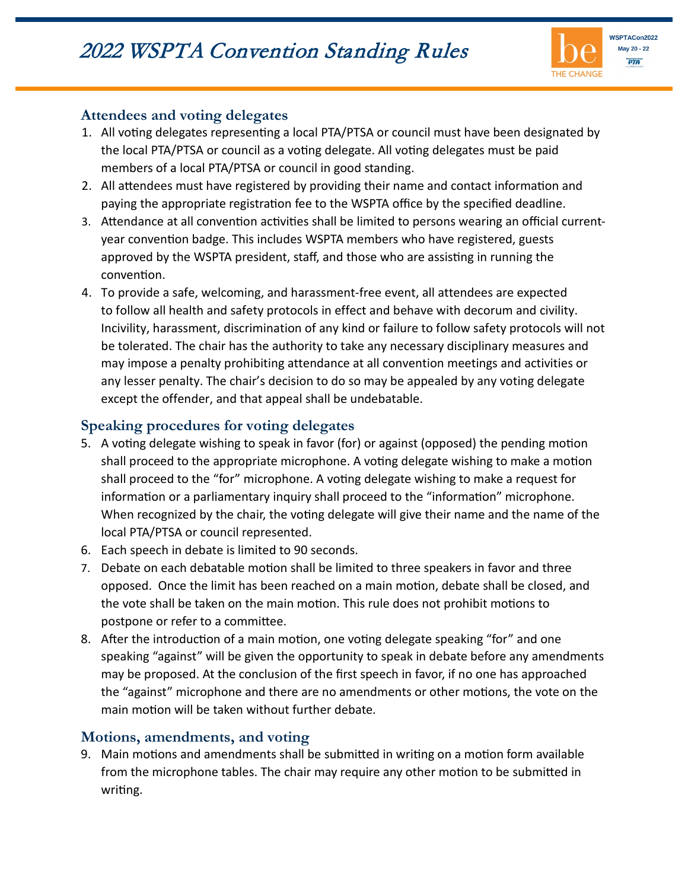

#### **Attendees and voting delegates**

- 1. All voting delegates representing a local PTA/PTSA or council must have been designated by the local PTA/PTSA or council as a voting delegate. All voting delegates must be paid members of a local PTA/PTSA or council in good standing.
- 2. All attendees must have registered by providing their name and contact information and paying the appropriate registration fee to the WSPTA office by the specified deadline.
- 3. Attendance at all convention activities shall be limited to persons wearing an official currentyear convention badge. This includes WSPTA members who have registered, guests approved by the WSPTA president, staff, and those who are assisting in running the convention.
- 4. To provide a safe, welcoming, and harassment-free event, all attendees are expected to follow all health and safety protocols in effect and behave with decorum and civility. Incivility, harassment, discrimination of any kind or failure to follow safety protocols will not be tolerated. The chair has the authority to take any necessary disciplinary measures and may impose a penalty prohibiting attendance at all convention meetings and activities or any lesser penalty. The chair's decision to do so may be appealed by any voting delegate except the offender, and that appeal shall be undebatable.

### **Speaking procedures for voting delegates**

- 5. A voting delegate wishing to speak in favor (for) or against (opposed) the pending motion shall proceed to the appropriate microphone. A voting delegate wishing to make a motion shall proceed to the "for" microphone. A voting delegate wishing to make a request for information or a parliamentary inquiry shall proceed to the "information" microphone. When recognized by the chair, the voting delegate will give their name and the name of the local PTA/PTSA or council represented.
- 6. Each speech in debate is limited to 90 seconds.
- 7. Debate on each debatable motion shall be limited to three speakers in favor and three opposed. Once the limit has been reached on a main motion, debate shall be closed, and the vote shall be taken on the main motion. This rule does not prohibit motions to postpone or refer to a commitee.
- 8. After the introduction of a main motion, one voting delegate speaking "for" and one speaking "against" will be given the opportunity to speak in debate before any amendments may be proposed. At the conclusion of the first speech in favor, if no one has approached the "against" microphone and there are no amendments or other motions, the vote on the main motion will be taken without further debate.

### **Motions, amendments, and voting**

9. Main motions and amendments shall be submitted in writing on a motion form available from the microphone tables. The chair may require any other motion to be submitted in writing.